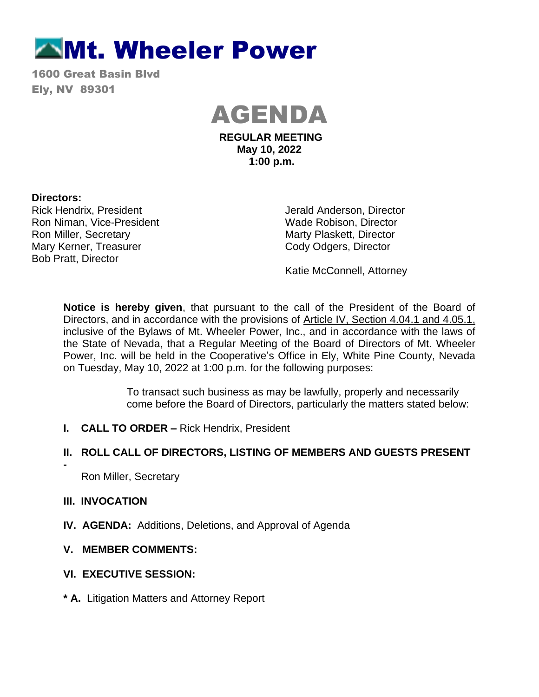# **Mt. Wheeler Power**

1600 Great Basin Blvd Ely, NV 89301



**REGULAR MEETING May 10, 2022 1:00 p.m.**

#### **Directors:**

Rick Hendrix, President Ron Niman, Vice-President Ron Miller, Secretary Mary Kerner, Treasurer Bob Pratt, Director

Jerald Anderson, Director Wade Robison, Director Marty Plaskett, Director Cody Odgers, Director

Katie McConnell, Attorney

**Notice is hereby given**, that pursuant to the call of the President of the Board of Directors, and in accordance with the provisions of Article IV, Section 4.04.1 and 4.05.1, inclusive of the Bylaws of Mt. Wheeler Power, Inc., and in accordance with the laws of the State of Nevada, that a Regular Meeting of the Board of Directors of Mt. Wheeler Power, Inc. will be held in the Cooperative's Office in Ely, White Pine County, Nevada on Tuesday, May 10, 2022 at 1:00 p.m. for the following purposes:

> To transact such business as may be lawfully, properly and necessarily come before the Board of Directors, particularly the matters stated below:

**I. CALL TO ORDER –** Rick Hendrix, President

## **II. ROLL CALL OF DIRECTORS, LISTING OF MEMBERS AND GUESTS PRESENT**

Ron Miller, Secretary

## **III. INVOCATION**

**-** 

- **IV. AGENDA:** Additions, Deletions, and Approval of Agenda
- **V. MEMBER COMMENTS:**

## **VI. EXECUTIVE SESSION:**

**\* A.** Litigation Matters and Attorney Report